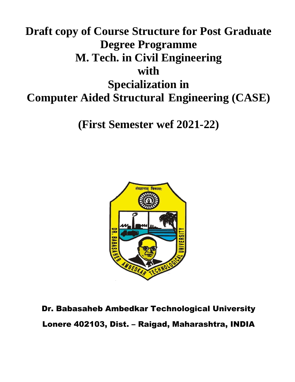# **Draft copy of Course Structure for Post Graduate Degree Programme M. Tech. in Civil Engineering with Specialization in Computer Aided Structural Engineering (CASE)**

**(First Semester wef 2021-22)**



Dr. Babasaheb Ambedkar Technological University Lonere 402103, Dist. – Raigad, Maharashtra, INDIA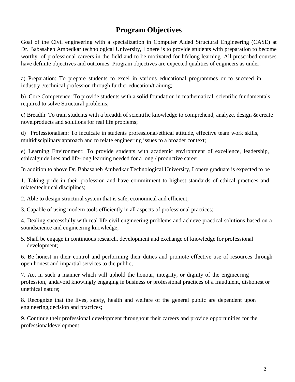# **Program Objectives**

Goal of the Civil engineering with a specialization in Computer Aided Structural Engineering (CASE) at Dr. Babasaheb Ambedkar technological University, Lonere is to provide students with preparation to become worthy of professional careers in the field and to be motivated for lifelong learning. All prescribed courses have definite objectives and outcomes. Program objectives are expected qualities of engineers as under:

a) Preparation: To prepare students to excel in various educational programmes or to succeed in industry /technical profession through further education/training;

b) Core Competence: To provide students with a solid foundation in mathematical, scientific fundamentals required to solve Structural problems;

c) Breadth: To train students with a breadth of scientific knowledge to comprehend, analyze, design & create novelproducts and solutions for real life problems;

d) Professionalism: To inculcate in students professional/ethical attitude, effective team work skills, multidisciplinary approach and to relate engineering issues to a broader context;

e) Learning Environment: To provide students with academic environment of excellence, leadership, ethicalguidelines and life-long learning needed for a long / productive career.

In addition to above Dr. Babasaheb Ambedkar Technological University, Lonere graduate is expected to be

1. Taking pride in their profession and have commitment to highest standards of ethical practices and relatedtechnical disciplines;

2. Able to design structural system that is safe, economical and efficient;

3. Capable of using modern tools efficiently in all aspects of professional practices;

4. Dealing successfully with real life civil engineering problems and achieve practical solutions based on a soundscience and engineering knowledge;

5. Shall be engage in continuous research, development and exchange of knowledge for professional development;

6. Be honest in their control and performing their duties and promote effective use of resources through open,honest and impartial services to the public;

7. Act in such a manner which will uphold the honour, integrity, or dignity of the engineering profession, andavoid knowingly engaging in business or professional practices of a fraudulent, dishonest or unethical nature;

8. Recognize that the lives, safety, health and welfare of the general public are dependent upon engineering,decision and practices;

9. Continue their professional development throughout their careers and provide opportunities for the professionaldevelopment;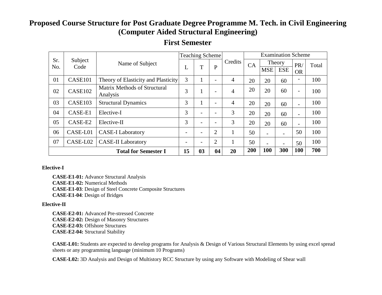# **Proposed Course Structure for Post Graduate Degree Programme M. Tech. in Civil Engineering (Computer Aided Structural Engineering)**

|                             | Subject<br>Code | Name of Subject                                 | <b>Teaching Scheme</b> |                |                          |                | <b>Examination Scheme</b> |            |                      |                          |       |
|-----------------------------|-----------------|-------------------------------------------------|------------------------|----------------|--------------------------|----------------|---------------------------|------------|----------------------|--------------------------|-------|
| Sr.<br>No.                  |                 |                                                 | L                      | T              | $\mathbf{P}$             | Credits        | CA                        | <b>MSE</b> | Theory<br><b>ESE</b> | PR/<br><b>OR</b>         | Total |
| 01                          | CASE101         | Theory of Elasticity and Plasticity             | 3                      |                |                          | $\overline{4}$ | 20                        | 20         | 60                   | -                        | 100   |
| 02                          | CASE102         | <b>Matrix Methods of Structural</b><br>Analysis | 3                      | 1              |                          | $\overline{4}$ | 20                        | 20         | 60                   | $\overline{\phantom{a}}$ | 100   |
| 03                          | CASE103         | <b>Structural Dynamics</b>                      | 3                      | 1              |                          | 4              | 20                        | 20         | 60                   | $\overline{\phantom{a}}$ | 100   |
| 04                          | CASE-E1         | Elective-I                                      | 3                      |                | $\overline{\phantom{0}}$ | 3              | 20                        | 20         | 60                   | $\overline{a}$           | 100   |
| 05                          | CASE-E2         | Elective-II                                     | 3                      |                |                          | 3              | 20                        | 20         | 60                   | $\overline{\phantom{a}}$ | 100   |
| 06                          | CASE-L01        | <b>CASE-I Laboratory</b>                        |                        |                | $\overline{2}$           | 1              | 50                        |            |                      | 50                       | 100   |
| 07                          | CASE-L02        | <b>CASE-II Laboratory</b>                       |                        |                | $\overline{2}$           | $\mathbf{1}$   | 50                        |            |                      | 50                       | 100   |
| <b>Total for Semester I</b> |                 |                                                 |                        | 0 <sub>3</sub> | 04                       | 20             | 200                       | 100        | 300                  | <b>100</b>               | 700   |

# **First Semester**

#### **Elective-I**

**CASE-E1-01:** Advance Structural Analysis **CASE-E1-02:** Numerical Methods **CASE-E1-03**: Design of Steel Concrete Composite Structures **CASE-E1-04**: Design of Bridges

#### **Elective-II**

**CASE-E2-01:** Advanced Pre-stressed Concrete **CASE-E2-02:** Design of Masonry Structures **CASE-E2-03:** Offshore Structures **CASE-E2-04:** Structural Stability

 **CASE-L01:** Students are expected to develop programs for Analysis & Design of Various Structural Elements by using excel spread sheets or any programming language (minimum 10 Programs)

 **CASE-L02:** 3D Analysis and Design of Multistory RCC Structure by using any Software with Modeling of Shear wall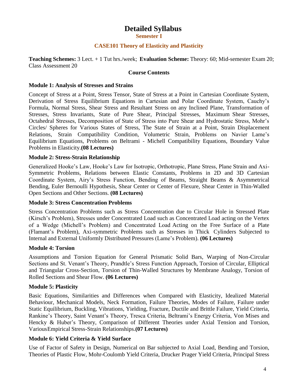# **Detailed Syllabus**

**Semester I**

#### **CASE101 Theory of Elasticity and Plasticity**

**Teaching Schemes:** 3 Lect. + 1 Tut hrs./week; **Evaluation Scheme:** Theory: 60; Mid-semester Exam 20; Class Assessment 20

#### **Course Contents**

#### **Module 1: Analysis of Stresses and Strains**

Concept of Stress at a Point, Stress Tensor, State of Stress at a Point in Cartesian Coordinate System, Derivation of Stress Equilibrium Equations in Cartesian and Polar Coordinate System, Cauchy's Formula, Normal Stress, Shear Stress and Resultant Stress on any Inclined Plane, Transformation of Stresses, Stress Invariants, State of Pure Shear, Principal Stresses, Maximum Shear Stresses, Octahedral Stresses, Decomposition of State of Stress into Pure Shear and Hydrostatic Stress, Mohr's Circles/ Spheres for Various States of Stress, The State of Strain at a Point, Strain Displacement Relations, Strain Compatibility Condition, Volumetric Strain, Problems on Navier Lame's Equilibrium Equations, Problems on Beltrami - Michell Compatibility Equations, Boundary Value Problems in Elasticity.**(08 Lectures)**

#### **Module 2: Stress-Strain Relationship**

Generalized Hooke's Law, Hooke's Law for Isotropic, Orthotropic, Plane Stress, Plane Strain and Axi-Symmetric Problems, Relations between Elastic Constants, Problems in 2D and 3D Cartesian Coordinate System, Airy's Stress Function, Bending of Beams, Straight Beams & Asymmetrical Bending, Euler Bernoulli Hypothesis, Shear Center or Center of Flexure, Shear Center in Thin-Walled Open Sections and Other Sections. **(08 Lectures)**

#### **Module 3: Stress Concentration Problems**

Stress Concentration Problems such as Stress Concentration due to Circular Hole in Stressed Plate (Kirsch's Problem), Stresses under Concentrated Load such as Concentrated Load acting on the Vertex of a Wedge (Michell's Problem) and Concentrated Load Acting on the Free Surface of a Plate (Flamant's Problem), Axi-symmetric Problems such as Stresses in Thick Cylinders Subjected to Internal and External Uniformly Distributed Pressures (Lame's Problem). **(06 Lectures)**

#### **Module 4: Torsion**

Assumptions and Torsion Equation for General Prismatic Solid Bars, Warping of Non-Circular Sections and St. Venant's Theory, Prandtle's Stress Function Approach, Torsion of Circular, Elliptical and Triangular Cross-Section, Torsion of Thin-Walled Structures by Membrane Analogy, Torsion of Rolled Sections and Shear Flow. **(06 Lectures)**

#### **Module 5: Plasticity**

Basic Equations, Similarities and Differences when Compared with Elasticity, Idealized Material Behaviour, Mechanical Models, Neck Formation, Failure Theories, Modes of Failure, Failure under Static Equilibrium, Buckling, Vibrations, Yielding, Fracture, Ductile and Brittle Failure, Yield Criteria, Rankine's Theory, Saint Venant's Theory, Tresca Criteria, Beltrami's Energy Criteria, Von Mises and Hencky & Huber's Theory, Comparison of Different Theories under Axial Tension and Torsion, VariousEmpirical Stress-Strain Relationships.**(07 Lectures)**

#### **Module 6: Yield Criteria & Yield Surface**

Use of Factor of Safety in Design, Numerical on Bar subjected to Axial Load, Bending and Torsion, Theories of Plastic Flow, Mohr-Coulomb Yield Criteria, Drucker Prager Yield Criteria, Principal Stress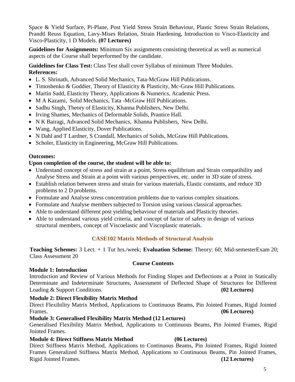Space & Yield Surface, Pi-Plane, Post Yield Stress Strain Behaviour, Plastic Stress Strain Relations, Prandtl Reuss Equation, Lavy-Mises Relation, Strain Hardening, Introduction to Visco-Elasticity and Visco-Plasticity, 1 D Models. **(07 Lectures)**

**Guidelines for Assignments:** Minimum Six assignments consisting theoretical as well as numerical aspects of the Course shall beperformed by the candidate.

**Guidelines for Class Test:** Class Test shall cover Syllabus of minimum Three Modules. **References:**

- L. S. Shrinath, Advanced Solid Mechanics, Tata-McGraw Hill Publications.
- Timoshenko & Goddier, Theory of Elasticity & Plasticity, Mc-Graw Hill Publications.
- Martin Sadd, Elasticity Theory, Applications & Numerics, Academic Press.
- M A Kazami, Solid Mechanics, Tata -McGraw Hill Publications.
- Sadhu Singh, Theory of Elasticity, Khanna Publishers, New Delhi.
- Irving Shames, Mechanics of Deformable Solids, Prantice Hall.
- N K Bairagi, Advanced Solid Mechanics, Khanna Publishers, New Delhi.
- Wang, Applied Elasticity, Dover Publications.
- N Dahl and T Lardner, S Crandall, Mechanics of Solids, McGraw Hill Publications.
- Scholer, Elasticity in Engineering, McGraw Hill Publications.

#### **Outcomes:**

#### **Upon completion of the course, the student will be able to:**

- Understand concept of stress and strain at a point, Stress equilibrium and Strain compatibility and Analyse Stress and Strain at a point with various perspectives, etc. under in 3D state of stress.
- Establish relation between stress and strain for various materials, Elastic constants, and reduce 3D problems to 2 D problems.
- Formulate and Analyse stress concentration problems due to various complex situations.
- Formulate and Analyse members subjected to Torsion using various classical approaches.
- Able to understand different post yielding behaviour of materials and Plasticity theories.
- Able to understand various yield criteria, and concept of factor of safety in design of various structural members, concept of Viscoelastic and Viscoplastic materials.

#### **CASE102 Matrix Methods of Structural Analysis**

**Teaching Schemes:** 3 Lect. + 1 Tut hrs./week; **Evaluation Scheme:** Theory: 60; Mid-semesterExam 20; Class Assessment 20

#### **Course Contents**

#### **Module 1: Introduction**

Introduction and Review of Various Methods for Finding Slopes and Deflections at a Point in Statically Determinate and Indeterminate Structures, Assessment of Deflected Shape of Structures for Different Loading & Support Conditions. **(02 Lectures)**

#### **Module 2: Direct Flexibility Matrix Method**

Direct Flexibility Matrix Method, Applications to Continuous Beams, Pin Jointed Frames, Rigid Jointed Frames. **(06 Lectures)**

#### **Module 3: Generalised Flexibility Matrix Method (12 Lectures)**

Generalised Flexibility Matrix Method, Applications to Continuous Beams, Pin Jointed Frames, Rigid Jointed Frames.

#### **Module 4: Direct Stiffness Matrix Method (06 Lectures)**

Direct Stiffness Matrix Method, Applications to Continuous Beams, Pin Jointed Frames, Rigid Jointed Frames Generalized Stiffness Matrix Method, Applications to Continuous Beams, Pin Jointed Frames, Rigid Jointed Frames. **(12 Lectures)**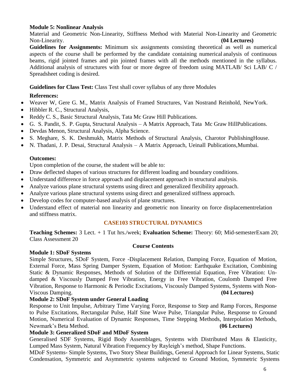#### **Module 5: Nonlinear Analysis**

Material and Geometric Non-Linearity, Stiffness Method with Material Non-Linearity and Geometric Non-Linearity. **(04 Lectures)**

**Guidelines for Assignments:** Minimum six assignments consisting theoretical as well as numerical aspects of the course shall be performed by the candidate containing numerical analysis of continuous beams, rigid jointed frames and pin jointed frames with all the methods mentioned in the syllabus. Additional analysis of structures with four or more degree of freedom using MATLAB/ Sci LAB/ C / Spreadsheet coding is desired.

**Guidelines for Class Test:** Class Test shall cover syllabus of any three Modules

#### **References:**

- Weaver W, Gere G. M., Matrix Analysis of Framed Structures, Van Nostrand Reinhold, NewYork.
- Hibbler R. C., Structural Analysis,
- Reddy C. S., Basic Structural Analysis, Tata Mc Graw Hill Publications.
- G. S. Pandit, S. P. Gupta, Structural Analysis A Matrix Approach, Tata Mc Graw HillPublications.
- Devdas Menon, Structural Analysis, Alpha Science.
- S. Meghare, S. K. Deshmukh, Matrix Methods of Structural Analysis, Charotor PublishingHouse.
- N. Thadani, J. P. Desai, Structural Analysis A Matrix Approach, Ueinall Publications,Mumbai.

#### **Outcomes:**

Upon completion of the course, the student will be able to:

- Draw deflected shapes of various structures for different loading and boundary conditions.
- Understand difference in force approach and displacement approach in structural analysis.
- Analyze various plane structural systems using direct and generalized flexibility approach.
- Analyze various plane structural systems using direct and generalized stiffness approach.
- Develop codes for computer-based analysis of plane structures.
- Understand effect of material non linearity and geometric non linearity on force displacementrelation and stiffness matrix.

#### **CASE103 STRUCTURAL DYNAMICS**

**Teaching Schemes:** 3 Lect. + 1 Tut hrs./week; **Evaluation Scheme:** Theory: 60; Mid-semesterExam 20; Class Assessment 20

#### **Course Contents**

#### **Module 1: SDoF Systems**

Simple Structures, SDoF System, Force -Displacement Relation, Damping Force, Equation of Motion, External Force, Mass Spring Damper System, Equation of Motion: Earthquake Excitation, Combining Static & Dynamic Responses, Methods of Solution of the Differential Equation, Free Vibration: Undamped & Viscously Damped Free Vibration, Energy in Free Vibration, Coulomb Damped Free Vibration, Response to Harmonic & Periodic Excitations, Viscously Damped Systems, Systems with Non-Viscous Damping. **(04 Lectures)**

#### **Module 2: SDoF System under General Loading**

Response to Unit Impulse, Arbitrary Time Varying Force, Response to Step and Ramp Forces, Response to Pulse Excitations, Rectangular Pulse, Half Sine Wave Pulse, Triangular Pulse, Response to Ground Motion, Numerical Evaluation of Dynamic Responses, Time Stepping Methods, Interpolation Methods, Newmark's Beta Method. **(06 Lectures)**

#### **Module 3: Generalized SDoF and MDoF System**

Generalised SDF Systems, Rigid Body Assemblages, Systems with Distributed Mass & Elasticity, Lumped Mass System, Natural Vibration Frequency by Rayleigh's method, Shape Functions.

MDoF Systems- Simple Systems, Two Story Shear Buildings, General Approach for Linear Systems, Static Condensation, Symmetric and Asymmetric systems subjected to Ground Motion, Symmetric Systems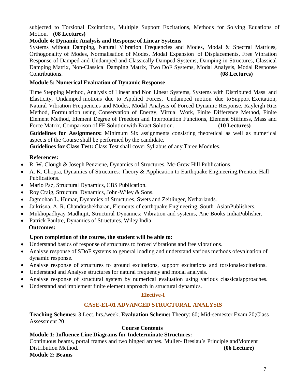subjected to Torsional Excitations, Multiple Support Excitations, Methods for Solving Equations of Motion. **(08 Lectures)**

#### **Module 4: Dynamic Analysis and Response of Linear Systems**

Systems without Damping, Natural Vibration Frequencies and Modes, Modal & Spectral Matrices, Orthogonality of Modes, Normalisation of Modes, Modal Expansion of Displacements, Free Vibration Response of Damped and Undamped and Classically Damped Systems, Damping in Structures, Classical Damping Matrix, Non-Classical Damping Matrix, Two DoF Systems, Modal Analysis, Modal Response Contributions. **(08 Lectures)**

#### **Module 5: Numerical Evaluation of Dynamic Response**

Time Stepping Method, Analysis of Linear and Non Linear Systems, Systems with Distributed Mass and Elasticity, Undamped motions due to Applied Forces, Undamped motion due toSupport Excitation, Natural Vibration Frequencies and Modes, Modal Analysis of Forced Dynamic Response, Rayleigh Ritz Method, Formulation using Conservation of Energy, Virtual Work, Finite Difference Method, Finite Element Method, Element Degree of Freedom and Interpolation Functions, Element Stiffness, Mass and Force Matrix, Comparison of FE Solutionwith Exact Solution. **(10 Lectures)**

**Guidelines for Assignments:** Minimum Six assignments consisting theoretical as well as numerical aspects of the Course shall be performed by the candidate.

**Guidelines for Class Test:** Class Test shall cover Syllabus of any Three Modules.

#### **References:**

- R. W. Clough & Joseph Penziene, Dynamics of Structures, Mc-Grew Hill Publications.
- A. K. Chopra, Dynamics of Structures: Theory & Application to Earthquake Engineering,Prentice Hall Publications.
- Mario Paz, Structural Dynamics, CBS Publication.
- Roy Craig, Structural Dynamics, John-Wiley & Sons.
- Jagmohan L. Humar, Dynamics of Structures, Swets and Zeitlinger, Netharlands.
- Jaikrisna, A. R. Chandrashekharan, Elements of earthquake Engineering, South AsianPublishers.
- Mukhopadhyay Madhujit, Structural Dynamics: Vibration and systems, Ane Books IndiaPublisher.
- Patrick Paultre, Dynamics of Structures, Wiley India **Outcomes:**

#### **Upon completion of the course, the student will be able to**:

- Understand basics of response of structures to forced vibrations and free vibrations.
- Analyse response of SDoF systems to general loading and understand various methods ofevaluation of dynamic response.
- Analyse response of structures to ground excitations, support excitations and torsionalexcitations.
- Understand and Analyse structures for natural frequency and modal analysis.
- Analyse response of structural system by numerical evaluation using various classicalapproaches.
- Understand and implement finite element approach in structural dynamics.

#### **Elective-I**

#### **CASE-E1-01 ADVANCED STRUCTURAL ANALYSIS**

**Teaching Schemes:** 3 Lect. hrs./week; **Evaluation Scheme:** Theory: 60; Mid-semester Exam 20;Class Assessment 20

#### **Course Contents**

#### **Module 1: Influence Line Diagrams for Indeterminate Structures:**

Continuous beams, portal frames and two hinged arches. Muller- Breslau's Principle andMoment Distribution Method. **(06 Lecture)**

**Module 2: Beams**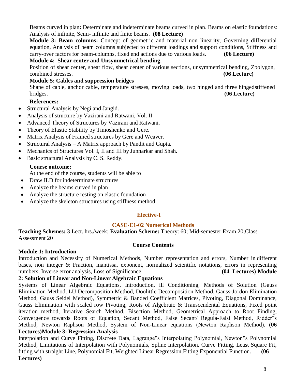Beams curved in plan**:** Determinate and indeterminate beams curved in plan. Beams on elastic foundations: Analysis of infinite, Semi- infinite and finite beams. **(08 Lecture)**

**Module 3: Beam columns:** Concept of geometric and material non linearity, Governing differential equation, Analysis of beam columns subjected to different loadings and support conditions, Stiffness and carry-over factors for beam-columns, fixed end actions due to various loads. **(06 Lecture)**

#### **Module 4: Shear center and Unsymmetrical bending.**

Position of shear center, shear flow, shear center of various sections, unsymmetrical bending, Zpolygon, combined stresses. **(06 Lecture)**

### **Module 5: Cables and suppression bridges**

Shape of cable, anchor cable, temperature stresses, moving loads, two hinged and three hinged stiffened bridges. **(06 Lecture)**

# **References:**

- Structural Analysis by Negi and Jangid.
- Analysis of structure by Vazirani and Ratwani, Vol. II
- Advanced Theory of Structures by Vazirani and Ratwani.
- Theory of Elastic Stability by Timoshenko and Gere.
- Matrix Analysis of Framed structures by Gere and Weaver.
- Structural Analysis A Matrix approach by Pandit and Gupta.
- Mechanics of Structures Vol. I, II and III by Junnarkar and Shah.
- Basic structural Analysis by C. S. Reddy.

## **Course outcome:**

At the end of the course, students will be able to

- Draw ILD for indeterminate structures
- Analyze the beams curved in plan
- Analyze the structure resting on elastic foundation
- Analyze the skeleton structures using stiffness method.

#### **Elective-I**

#### **CASE-E1-02 Numerical Methods**

**Teaching Schemes:** 3 Lect. hrs./week; **Evaluation Scheme:** Theory: 60; Mid-semester Exam 20;Class Assessment 20

#### **Course Contents**

#### **Module 1: Introduction**

Introduction and Necessity of Numerical Methods, Number representation and errors, Number in different bases, non integer & Fraction, mantissa, exponent, normalized scientific notations, errors in representing numbers, Inverse error analysis, Loss of Significance. **(04 Lectures) Module**

#### **2: Solution of Linear and Non-Linear Algebraic Equations**

Systems of Linear Algebraic Equations, Introduction, ill Conditioning, Methods of Solution (Gauss Elimination Method, LU Decomposition Method, Doolittle Decomposition Method, Gauss-Jordon Elimination Method, Gauss Seidel Method), Symmetric & Banded Coefficient Matrices, Pivoting, Diagonal Dominance, Gauss Elimination with scaled row Pivoting, Roots of Algebraic & Transcendental Equations, Fixed point iteration method, Iterative Search Method, Bisection Method, Geometrical Approach to Root Finding, Convergence towards Roots of Equation, Secant Method, False Secant/ Regula-Falsi Method, Ridder"s Method, Newton Raphson Method, System of Non-Linear equations (Newton Raphson Method). **(06 Lectures)Module 3: Regression Analysis**

Interpolation and Curve Fitting, Discrete Data, Lagrange"s Interpolating Polynomial, Newton"s Polynomial Method, Limitations of Interpolation with Polynomials, Spline Interpolation, Curve Fitting, Least Square Fit, fitting with straight Line, Polynomial Fit, Weighted Linear Regression,Fitting Exponential Function. **(06 Lectures)**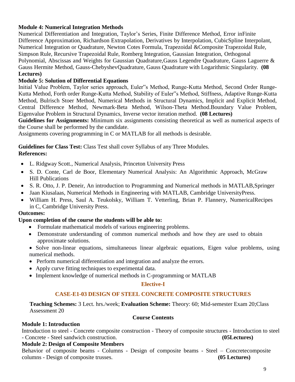#### **Module 4: Numerical Integration Methods**

Numerical Differentiation and Integration, Taylor's Series, Finite Difference Method, Error inFinite Difference Approximation, Richardson Extrapolation, Derivatives by Interpolation, CubicSpline Interpolant, Numerical Integration or Quadrature, Newton Cotes Formula, Trapezoidal &Composite Trapezoidal Rule, Simpson Rule, Recursive Trapezoidal Rule, Romberg Integration, Gaussian Integration, Orthogonal Polynomial, Abscissas and Weights for Gaussian Quadrature,Gauss Legendre Quadrature, Gauss Laguerre & Gauss Hermite Method, Gauss-ChebyshevQuadrature, Gauss Quadrature with Logarithmic Singularity. **(08 Lectures)**

#### **Module 5: Solution of Differential Equations**

Initial Value Problem, Taylor series approach, Euler"s Method, Runge-Kutta Method, Second Order Runge-Kutta Method, Forth order Runge-Kutta Method, Stability of Euler"s Method, Stiffness, Adaptive Runge-Kutta Method, Bulrisch Stoer Method, Numerical Methods in Structural Dynamics, Implicit and Explicit Method, Central Difference Method, Newmark-Beta Method, Wilson-Theta Method.Boundary Value Problem, Eigenvalue Problem in Structural Dynamics, Inverse vector iteration method. **(08 Lectures)**

**Guidelines for Assignments:** Minimum six assignments consisting theoretical as well as numerical aspects of the Course shall be performed by the candidate.

Assignments covering programming in C or MATLAB for all methods is desirable.

**Guidelines for Class Test:** Class Test shall cover Syllabus of any Three Modules.

#### **References:**

- L. Ridgway Scott., Numerical Analysis, Princeton University Press
- S. D. Conte, Carl de Boor, Elementary Numerical Analysis: An Algorithmic Approach, McGraw Hill Publications
- S. R. Otto, J. P. Deneir, An introduction to Programming and Numerical methods in MATLAB,Springer
- Jaan Kiusalaas, Numerical Methods in Engineering with MATLAB, Cambridge UniversityPress.
- William H. Press, Saul A. Teukolsky, William T. Vetterling, Brian P. Flannery, NumericalRecipes in C, Cambridge University Press.

#### **Outcomes:**

#### **Upon completion of the course the students will be able to:**

- Formulate mathematical models of various engineering problems.
- Demonstrate understanding of common numerical methods and how they are used to obtain approximate solutions.
- Solve non-linear equations, simultaneous linear algebraic equations, Eigen value problems, using numerical methods.
- Perform numerical differentiation and integration and analyze the errors.
- Apply curve fitting techniques to experimental data.
- Implement knowledge of numerical methods in C-programming or MATLAB

#### **Elective-I**

#### **CASE-E1-03 DESIGN OF STEEL CONCRETE COMPOSITE STRUCTURES**

**Teaching Schemes:** 3 Lect. hrs./week; **Evaluation Scheme:** Theory: 60; Mid-semester Exam 20;Class Assessment 20

#### **Course Contents**

**Module 1: Introduction**

Introduction to steel - Concrete composite construction - Theory of composite structures - Introduction to steel - Concrete - Steel sandwich construction. **(05Lectures)**

#### **Module 2: Design of Composite Members**

Behavior of composite beams - Columns - Design of composite beams - Steel – Concretecomposite columns - Design of composite trusses. **(05 Lectures)**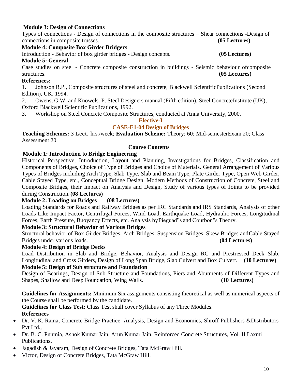#### **Module 3: Design of Connections**

Types of connections - Design of connections in the composite structures – Shear connections -Design of connections in composite trusses. **(05 Lectures)**

**Module 4: Composite Box Girder Bridgers**

Introduction - Behavior of box girder bridges - Design concepts. **(05 Lectures)**

#### **Module 5: General**

Case studies on steel - Concrete composite construction in buildings - Seismic behaviour ofcomposite structures. **(05 Lectures)**

#### **References:**

1. Johnson R.P., Composite structures of steel and concrete, Blackwell ScientificPublications (Second Edition), UK, 1994.

- 2. Owens, G.W. and Knowels. P. Steel Designers manual (Fifth edition), Steel ConcreteInstitute (UK), Oxford Blackwell Scientific Publications, 1992.
- 3. Workshop on Steel Concrete Composite Structures, conducted at Anna University, 2000.

#### **Elective-I**

#### **CASE-E1-04 Design of Bridges**

**Teaching Schemes:** 3 Lect. hrs./week; **Evaluation Scheme:** Theory: 60; Mid-semesterExam 20; Class Assessment 20

#### **Course Contents**

#### **Module 1: Introduction to Bridge Engineering**

Historical Perspective, Introduction, Layout and Planning, Investigations for Bridges, Classification and Components of Bridges, Choice of Type of Bridges and Choice of Materials. General Arrangement of Various Types of Bridges including Arch Type, Slab Type, Slab and Beam Type, Plate Girder Type, Open Web Girder, Cable Stayed Type, etc., Conceptual Bridge Design. Modern Methods of Construction of Concrete, Steel and Composite Bridges, their Impact on Analysis and Design, Study of various types of Joints to be provided during Construction.**(08 Lectures)**

#### **Module 2: Loading on Bridges (08 Lectures)**

Loading Standards for Roads and Railway Bridges as per IRC Standards and IRS Standards, Analysis of other Loads Like Impact Factor, Centrifugal Forces, Wind Load, Earthquake Load, Hydraulic Forces, Longitudinal Forces, Earth Pressure, Buoyancy Effects, etc. Analysis by Pieguad"s and Courbon"s Theory.

#### **Module 3: Structural Behavior of Various Bridges**

Structural behavior of Box Girder Bridges, Arch Bridges, Suspension Bridges, Skew Bridges andCable Stayed Bridges under various loads. **(04 Lectures)**

#### **Module 4: Design of Bridge Decks**

Load Distribution in Slab and Bridge, Behavior, Analysis and Design RC and Prestressed Deck Slab, Longitudinal and Cross Girders, Design of Long Span Bridge, Slab Culvert and Box Culvert. **(10 Lectures)**

#### **Module 5: Design of Sub structure and Foundation**

Design of Bearings, Design of Sub Structure and Foundations, Piers and Abutments of Different Types and Shapes, Shallow and Deep Foundation, Wing Walls. **(10 Lectures)**

**Guidelines for Assignments:** Minimum Six assignments consisting theoretical as well as numerical aspects of the Course shall be performed by the candidate.

**Guidelines for Class Test:** Class Test shall cover Syllabus of any Three Modules. **References**

- Dr. V. K. Raina, Concrete Bridge Practice: Analysis, Design and Economics, Shroff Publishers &Distributors Pvt Ltd.,
- Dr. B. C. Punmia, Ashok Kumar Jain, Arun Kumar Jain, Reinforced Concrete Structures, Vol. II,Laxmi Publications**.**
- Jagadish & Jayaram, Design of Concrete Bridges, Tata McGraw Hill.
- Victor, Design of Concrete Bridges, Tata McGraw Hill.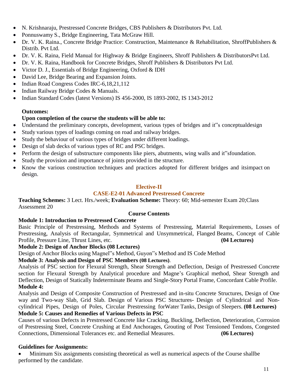- N. Krishnaraju, Prestressed Concrete Bridges, CBS Publishers & Distributors Pvt. Ltd.
- Ponnuswamy S., Bridge Engineering, Tata McGraw Hill.
- Dr. V. K. Raina., Concrete Bridge Practice: Construction, Maintenance & Rehabilitation, ShroffPublishers & Distrib. Pvt Ltd.
- Dr. V. K. Raina, Field Manual for Highway & Bridge Engineers, Shroff Publishers & DistributorsPvt Ltd.
- Dr. V. K. Raina, Handbook for Concrete Bridges, Shroff Publishers & Distributors Pvt Ltd.
- Victor D. J., Essentials of Bridge Engineering, Oxford & IDH
- David Lee, Bridge Bearing and Expansion Joints.
- Indian Road Congress Codes IRC-6,18,21,112
- Indian Railway Bridge Codes & Manuals.
- Indian Standard Codes (latest Versions) IS 456-2000, IS 1893-2002, IS 1343-2012

#### **Outcomes:**

#### **Upon completion of the course the students will be able to:**

- Understand the preliminary concepts, development, various types of bridges and it"s conceptualdesign
- Study various types of loadings coming on road and railway bridges.
- Study the behaviour of various types of bridges under different loadings.
- Design of slab decks of various types of RC and PSC bridges.
- Perform the design of substructure components like piers, abutments, wing walls and it sfoundation.
- Study the provision and importance of joints provided in the structure.
- Know the various construction techniques and practices adopted for different bridges and itsimpact on design.

#### **Elective-II**

#### **CASE-E2-01 Advanced Prestressed Concrete**

**Teaching Schemes:** 3 Lect. Hrs./week; **Evaluation Scheme:** Theory: 60; Mid-semester Exam 20;Class Assessment 20

#### **Course Contents**

#### **Module 1: Introduction to Prestressed Concrete**

Basic Principle of Prestressing, Methods and Systems of Prestressing, Material Requirements, Losses of Prestressing, Analysis of Rectangular, Symmetrical and Unsymmetrical, Flanged Beams, Concept of Cable Profile, Pressure Line, Thrust Lines, etc. **(04 Lectures)**

#### **Module 2: Design of Anchor Blocks (08 Lectures)**

Design of Anchor Blocks using Magnel"s Method, Guyon"s Method and IS Code Method

#### **Module 3: Analysis and Design of PSC Members (08 Lectures)**.

Analysis of PSC section for Flexural Strength, Shear Strength and Deflection, Design of Prestressed Concrete section for Flexural Strength by Analytical procedure and Magne's Graphical method, Shear Strength and Deflection, Design of Statically Indeterminate Beams and Single-Story Portal Frame, Concordant Cable Profile. **Module 4:**

Analysis and Design of Composite Construction of Prestressed and in-situ Concrete Structures, Design of One way and Two-way Slab, Grid Slab. Design of Various PSC Structures**-** Design of Cylindrical and Noncylindrical Pipes, Design of Poles, Circular Prestressing forWater Tanks, Design of Sleepers. **(08 Lectures) Module 5: Causes and Remedies of Various Defects in PSC**

Causes of various Defects in Prestressed Concrete like Cracking, Buckling, Deflection, Deterioration, Corrosion of Prestressing Steel, Concrete Crushing at End Anchorages, Grouting of Post Tensioned Tendons, Congested Connections, Dimensional Tolerances etc. and Remedial Measures. **(06 Lectures)**

#### **Guidelines for Assignments:**

 Minimum Six assignments consisting theoretical as well as numerical aspects of the Course shallbe performed by the candidate.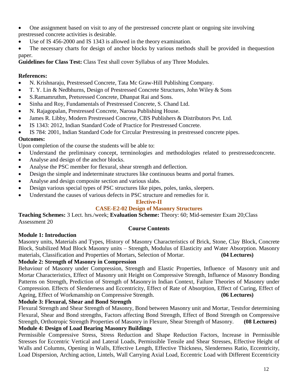One assignment based on visit to any of the prestressed concrete plant or ongoing site involving prestressed concrete activities is desirable.

Use of IS 456-2000 and IS 1343 is allowed in the theory examination.

 The necessary charts for design of anchor blocks by various methods shall be provided in thequestion paper.

**Guidelines for Class Test:** Class Test shall cover Syllabus of any Three Modules.

#### **References:**

- N. Krishnaraju, Prestressed Concrete, Tata Mc Graw-Hill Publishing Company.
- T. Y. Lin & Nedbhurns, Design of Prestressed Concrete Structures, John Wiley & Sons
- S.Ramamruthm, Pretsressed Concrete, Dhanpat Rai and Sons.
- Sinha and Roy, Fundamentals of Prestressed Concrete, S. Chand Ltd.
- N. Rajagopalan, Prestressed Concrete, Narosa Publishing House.
- James R. Libby, Modern Prestressed Concrete, CBS Publishers & Distributors Pvt. Ltd.
- IS 1343: 2012, Indian Standard Code of Practice for Prestressed Concrete.
- IS 784: 2001, Indian Standard Code for Circular Prestressing in prestressed concrete pipes.

#### **Outcomes:**

Upon completion of the course the students will be able to:

- Understand the preliminary concept, terminologies and methodologies related to prestressedconcrete.
- Analyse and design of the anchor blocks.
- Analyse the PSC member for flexural, shear strength and deflection.
- Design the simple and indeterminate structures like continuous beams and portal frames.
- Analyse and design composite section and various slabs.
- Design various special types of PSC structures like pipes, poles, tanks, sleepers.
- Understand the causes of various defects in PSC structure and remedies for it.

#### **Elective-II**

#### **CASE-E2-02 Design of Masonry Structures**

**Teaching Schemes:** 3 Lect. hrs./week; **Evaluation Scheme:** Theory: 60; Mid-semester Exam 20;Class Assessment 20

#### **Course Contents**

#### **Module 1: Introduction**

Masonry units, Materials and Types, History of Masonry Characteristics of Brick, Stone, Clay Block, Concrete Block, Stabilized Mud Block Masonry units – Strength, Modulus of Elasticity and Water Absorption. Masonry materials, Classification and Properties of Mortars, Selection of Mortar. **(04 Lectures)**

#### **Module 2: Strength of Masonry in Compression**

Behaviour of Masonry under Compression, Strength and Elastic Properties, Influence of Masonry unit and Mortar Characteristics, Effect of Masonry unit Height on Compressive Strength, Influence of Masonry Bonding Patterns on Strength, Prediction of Strength of Masonryin Indian Context, Failure Theories of Masonry under Compression. Effects of Slenderness and Eccentricity, Effect of Rate of Absorption, Effect of Curing, Effect of Ageing, Effect of Workmanship on Compressive Strength. **(06 Lectures)**

#### **Module 3: Flexural, Shear and Bond Strength**

Flexural Strength and Shear Strength of Masonry, Bond between Masonry unit and Mortar, Testsfor determining Flexural, Shear and Bond strengths, Factors affecting Bond Strength, Effect of Bond Strength on Compressive Strength, Orthotropic Strength Properties of Masonry in Flexure, Shear Strength of Masonry. **(08 Lectures) Module 4: Design of Load Bearing Masonry Buildings**

Permissible Compressive Stress, Stress Reduction and Shape Reduction Factors, Increase in Permissible Stresses for Eccentric Vertical and Lateral Loads, Permissible Tensile and Shear Stresses, Effective Height of Walls and Columns, Opening in Walls, Effective Length, Effective Thickness, Slenderness Ratio, Eccentricity, Load Dispersion, Arching action, Lintels, Wall Carrying Axial Load, Eccentric Load with Different Eccentricity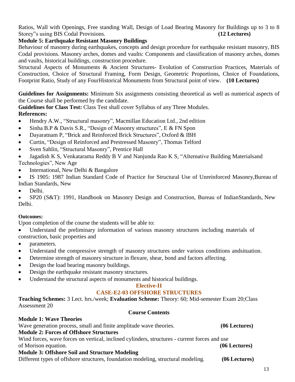Ratios, Wall with Openings, Free standing Wall, Design of Load Bearing Masonry for Buildings up to 3 to 8 Storey"s using BIS Codal Provisions. **(12 Lectures)**

#### **Module 5: Earthquake Resistant Masonry Buildings**

Behaviour of masonry during earthquakes, concepts and design procedure for earthquake resistant masonry, BIS Codal provisions. Masonry arches, domes and vaults: Components and classification of masonry arches, domes and vaults, historical buildings, construction procedure.

Structural Aspects of Monuments & Ancient Structures- Evolution of Construction Practices, Materials of Construction, Choice of Structural Framing, Form Design, Geometric Proportions, Choice of Foundations, Footprint Ratio, Study of any FourHistorical Monuments from Structural point of view. **(10 Lectures)**

**Guidelines for Assignments:** Minimum Six assignments consisting theoretical as well as numerical aspects of the Course shall be performed by the candidate.

**Guidelines for Class Test:** Class Test shall cover Syllabus of any Three Modules.

**References:**

- Hendry A.W., "Structural masonry", Macmillan Education Ltd., 2nd edition
- $\bullet$  Sinha B.P & Davis S.R., "Design of Masonry structures", E & FN Spon
- Dayaratnam P, "Brick and Reinforced Brick Structures", Oxford & IBH
- Curtin, "Design of Reinforced and Prestressed Masonry", Thomas Telford
- Sven Sahlin, "Structural Masonry", Prentice Hall

 Jagadish K S, Venkatarama Reddy B V and Nanjunda Rao K S, "Alternative Building Materialsand Technologies", New Age

International, New Delhi & Bangalore

 IS 1905: 1987 Indian Standard Code of Practice for Structural Use of Unreinforced Masonry,Bureau of Indian Standards, New

Delhi.

 SP20 (S&T): 1991, Handbook on Masonry Design and Construction, Bureau of IndianStandards, New Delhi.

#### **Outcomes:**

Upon completion of the course the students will be able to:

Understand the preliminary information of various masonry structures including materials of

construction, basic properties and

- parameters.
- Understand the compressive strength of masonry structures under various conditions andsituation.
- Determine strength of masonry structure in flexure, shear, bond and factors affecting.
- Design the load bearing masonry buildings.
- Design the earthquake resistant masonry structures.
- Understand the structural aspects of monuments and historical buildings.

#### **Elective-II CASE-E2-03 OFFSHORE STRUCTURES**

**Teaching Schemes:** 3 Lect. hrs./week; **Evaluation Scheme:** Theory: 60; Mid-semester Exam 20;Class Assessment 20

#### **Course Contents**

| <b>Module 1: Wave Theories</b>                                                                |                 |
|-----------------------------------------------------------------------------------------------|-----------------|
| Wave generation process, small and finite amplitude wave theories.                            | $(06$ Lectures) |
| <b>Module 2: Forces of Offshore Structures</b>                                                |                 |
| Wind forces, wave forces on vertical, inclined cylinders, structures - current forces and use |                 |
| of Morison equation.                                                                          | $(06$ Lectures) |
| <b>Module 3: Offshore Soil and Structure Modeling</b>                                         |                 |
| Different types of offshore structures, foundation modeling, structural modeling.             | (06 Lectures)   |